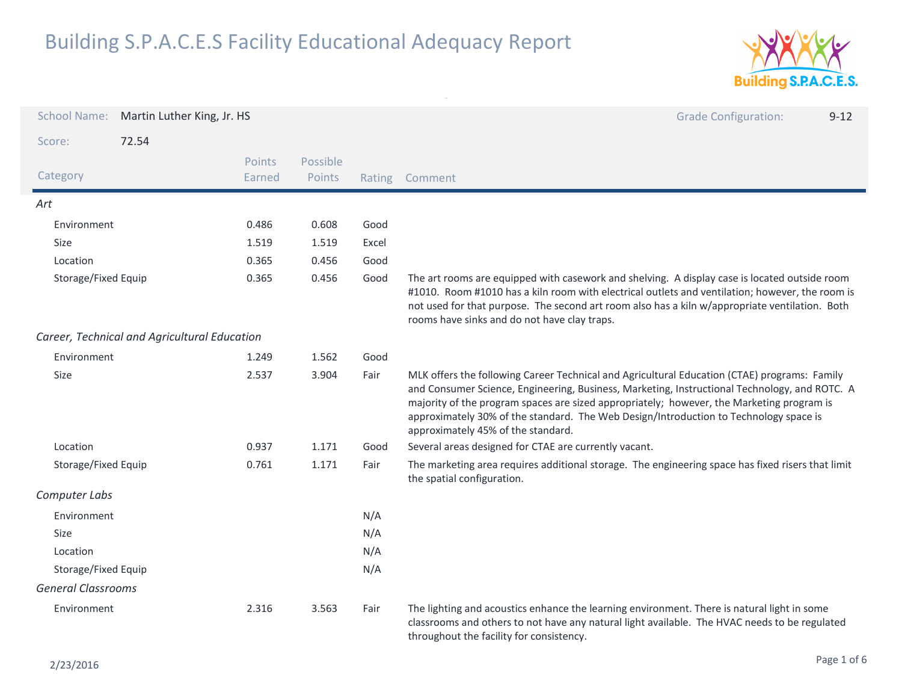

| <b>School Name:</b>       | Martin Luther King, Jr. HS                   |                  |                    |        | <b>Grade Configuration:</b><br>$9 - 12$                                                                                                                                                                                                                                                                                                                                                                                   |
|---------------------------|----------------------------------------------|------------------|--------------------|--------|---------------------------------------------------------------------------------------------------------------------------------------------------------------------------------------------------------------------------------------------------------------------------------------------------------------------------------------------------------------------------------------------------------------------------|
| Score:                    | 72.54                                        |                  |                    |        |                                                                                                                                                                                                                                                                                                                                                                                                                           |
| Category                  |                                              | Points<br>Earned | Possible<br>Points | Rating | Comment                                                                                                                                                                                                                                                                                                                                                                                                                   |
| Art                       |                                              |                  |                    |        |                                                                                                                                                                                                                                                                                                                                                                                                                           |
| Environment               |                                              | 0.486            | 0.608              | Good   |                                                                                                                                                                                                                                                                                                                                                                                                                           |
| Size                      |                                              | 1.519            | 1.519              | Excel  |                                                                                                                                                                                                                                                                                                                                                                                                                           |
| Location                  |                                              | 0.365            | 0.456              | Good   |                                                                                                                                                                                                                                                                                                                                                                                                                           |
| Storage/Fixed Equip       |                                              | 0.365            | 0.456              | Good   | The art rooms are equipped with casework and shelving. A display case is located outside room<br>#1010. Room #1010 has a kiln room with electrical outlets and ventilation; however, the room is<br>not used for that purpose. The second art room also has a kiln w/appropriate ventilation. Both<br>rooms have sinks and do not have clay traps.                                                                        |
|                           | Career, Technical and Agricultural Education |                  |                    |        |                                                                                                                                                                                                                                                                                                                                                                                                                           |
| Environment               |                                              | 1.249            | 1.562              | Good   |                                                                                                                                                                                                                                                                                                                                                                                                                           |
| Size                      |                                              | 2.537            | 3.904              | Fair   | MLK offers the following Career Technical and Agricultural Education (CTAE) programs: Family<br>and Consumer Science, Engineering, Business, Marketing, Instructional Technology, and ROTC. A<br>majority of the program spaces are sized appropriately; however, the Marketing program is<br>approximately 30% of the standard. The Web Design/Introduction to Technology space is<br>approximately 45% of the standard. |
| Location                  |                                              | 0.937            | 1.171              | Good   | Several areas designed for CTAE are currently vacant.                                                                                                                                                                                                                                                                                                                                                                     |
| Storage/Fixed Equip       |                                              | 0.761            | 1.171              | Fair   | The marketing area requires additional storage. The engineering space has fixed risers that limit<br>the spatial configuration.                                                                                                                                                                                                                                                                                           |
| Computer Labs             |                                              |                  |                    |        |                                                                                                                                                                                                                                                                                                                                                                                                                           |
| Environment               |                                              |                  |                    | N/A    |                                                                                                                                                                                                                                                                                                                                                                                                                           |
| Size                      |                                              |                  |                    | N/A    |                                                                                                                                                                                                                                                                                                                                                                                                                           |
| Location                  |                                              |                  |                    | N/A    |                                                                                                                                                                                                                                                                                                                                                                                                                           |
| Storage/Fixed Equip       |                                              |                  |                    | N/A    |                                                                                                                                                                                                                                                                                                                                                                                                                           |
| <b>General Classrooms</b> |                                              |                  |                    |        |                                                                                                                                                                                                                                                                                                                                                                                                                           |
| Environment               |                                              | 2.316            | 3.563              | Fair   | The lighting and acoustics enhance the learning environment. There is natural light in some<br>classrooms and others to not have any natural light available. The HVAC needs to be regulated<br>throughout the facility for consistency.                                                                                                                                                                                  |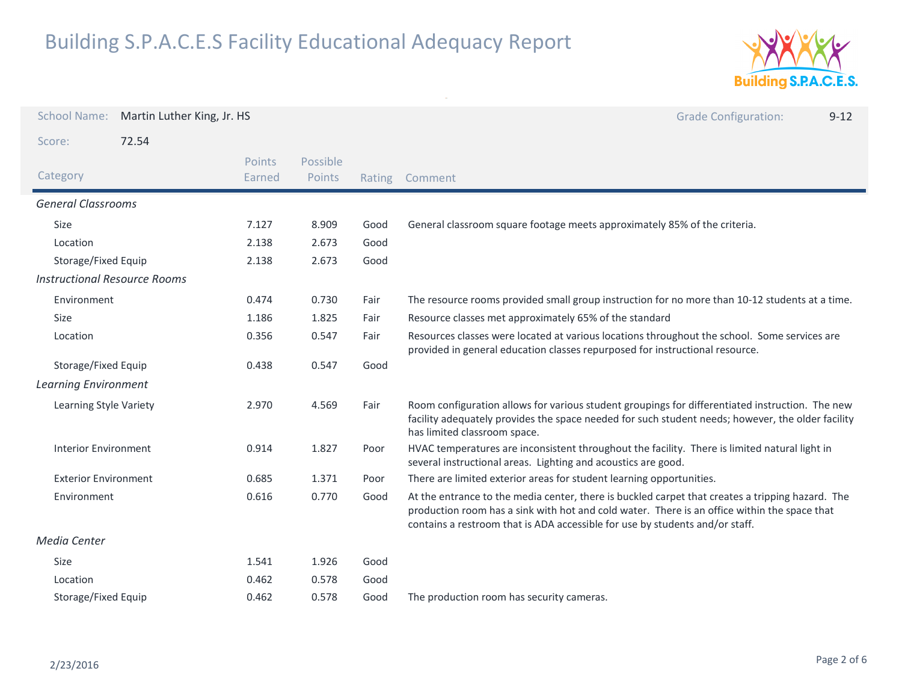

| <b>School Name:</b>                 | Martin Luther King, Jr. HS |                  |                    |        | <b>Grade Configuration:</b><br>$9 - 12$                                                                                                                                                                                                                                          |
|-------------------------------------|----------------------------|------------------|--------------------|--------|----------------------------------------------------------------------------------------------------------------------------------------------------------------------------------------------------------------------------------------------------------------------------------|
| Score:                              | 72.54                      |                  |                    |        |                                                                                                                                                                                                                                                                                  |
| Category                            |                            | Points<br>Earned | Possible<br>Points | Rating | Comment                                                                                                                                                                                                                                                                          |
| <b>General Classrooms</b>           |                            |                  |                    |        |                                                                                                                                                                                                                                                                                  |
| Size                                |                            | 7.127            | 8.909              | Good   | General classroom square footage meets approximately 85% of the criteria.                                                                                                                                                                                                        |
| Location                            |                            | 2.138            | 2.673              | Good   |                                                                                                                                                                                                                                                                                  |
| Storage/Fixed Equip                 |                            | 2.138            | 2.673              | Good   |                                                                                                                                                                                                                                                                                  |
| <b>Instructional Resource Rooms</b> |                            |                  |                    |        |                                                                                                                                                                                                                                                                                  |
| Environment                         |                            | 0.474            | 0.730              | Fair   | The resource rooms provided small group instruction for no more than 10-12 students at a time.                                                                                                                                                                                   |
| Size                                |                            | 1.186            | 1.825              | Fair   | Resource classes met approximately 65% of the standard                                                                                                                                                                                                                           |
| Location                            |                            | 0.356            | 0.547              | Fair   | Resources classes were located at various locations throughout the school. Some services are<br>provided in general education classes repurposed for instructional resource.                                                                                                     |
| Storage/Fixed Equip                 |                            | 0.438            | 0.547              | Good   |                                                                                                                                                                                                                                                                                  |
| <b>Learning Environment</b>         |                            |                  |                    |        |                                                                                                                                                                                                                                                                                  |
| Learning Style Variety              |                            | 2.970            | 4.569              | Fair   | Room configuration allows for various student groupings for differentiated instruction. The new<br>facility adequately provides the space needed for such student needs; however, the older facility<br>has limited classroom space.                                             |
| <b>Interior Environment</b>         |                            | 0.914            | 1.827              | Poor   | HVAC temperatures are inconsistent throughout the facility. There is limited natural light in<br>several instructional areas. Lighting and acoustics are good.                                                                                                                   |
| <b>Exterior Environment</b>         |                            | 0.685            | 1.371              | Poor   | There are limited exterior areas for student learning opportunities.                                                                                                                                                                                                             |
| Environment                         |                            | 0.616            | 0.770              | Good   | At the entrance to the media center, there is buckled carpet that creates a tripping hazard. The<br>production room has a sink with hot and cold water. There is an office within the space that<br>contains a restroom that is ADA accessible for use by students and/or staff. |
| <b>Media Center</b>                 |                            |                  |                    |        |                                                                                                                                                                                                                                                                                  |
| Size                                |                            | 1.541            | 1.926              | Good   |                                                                                                                                                                                                                                                                                  |
| Location                            |                            | 0.462            | 0.578              | Good   |                                                                                                                                                                                                                                                                                  |
| Storage/Fixed Equip                 |                            | 0.462            | 0.578              | Good   | The production room has security cameras.                                                                                                                                                                                                                                        |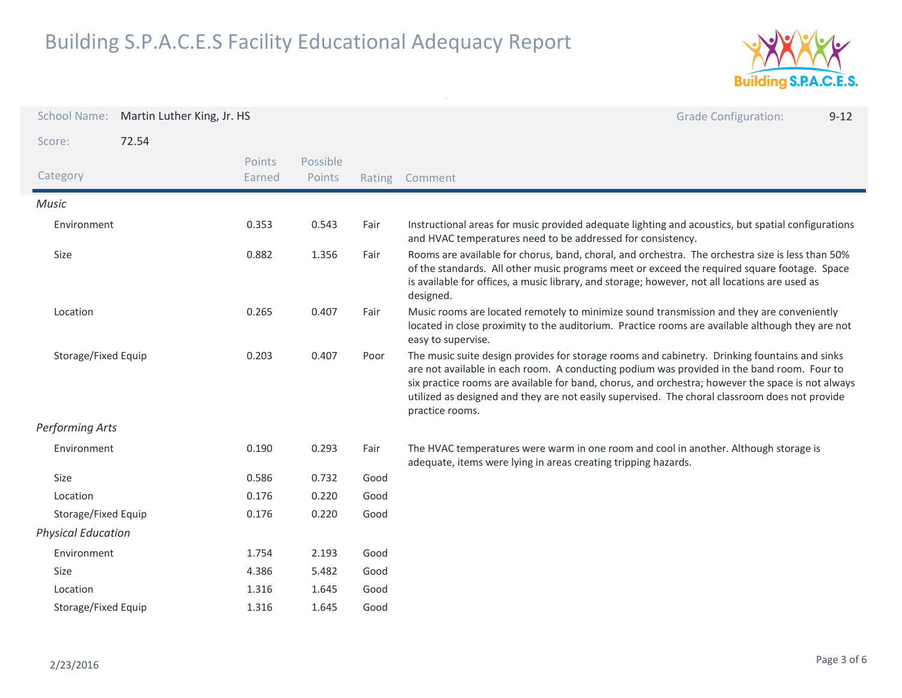

| <b>School Name:</b>       | Martin Luther King, Jr. HS |                  |                    |      | <b>Grade Configuration:</b><br>$9 - 12$                                                                                                                                                                                                                                                                                                                                                                               |
|---------------------------|----------------------------|------------------|--------------------|------|-----------------------------------------------------------------------------------------------------------------------------------------------------------------------------------------------------------------------------------------------------------------------------------------------------------------------------------------------------------------------------------------------------------------------|
| Score:                    | 72.54                      |                  |                    |      |                                                                                                                                                                                                                                                                                                                                                                                                                       |
| Category                  |                            | Points<br>Earned | Possible<br>Points |      | Rating Comment                                                                                                                                                                                                                                                                                                                                                                                                        |
| <b>Music</b>              |                            |                  |                    |      |                                                                                                                                                                                                                                                                                                                                                                                                                       |
| Environment               |                            | 0.353            | 0.543              | Fair | Instructional areas for music provided adequate lighting and acoustics, but spatial configurations<br>and HVAC temperatures need to be addressed for consistency.                                                                                                                                                                                                                                                     |
| Size                      |                            | 0.882            | 1.356              | Fair | Rooms are available for chorus, band, choral, and orchestra. The orchestra size is less than 50%<br>of the standards. All other music programs meet or exceed the required square footage. Space<br>is available for offices, a music library, and storage; however, not all locations are used as<br>designed.                                                                                                       |
| Location                  |                            | 0.265            | 0.407              | Fair | Music rooms are located remotely to minimize sound transmission and they are conveniently<br>located in close proximity to the auditorium. Practice rooms are available although they are not<br>easy to supervise.                                                                                                                                                                                                   |
| Storage/Fixed Equip       |                            | 0.203            | 0.407              | Poor | The music suite design provides for storage rooms and cabinetry. Drinking fountains and sinks<br>are not available in each room. A conducting podium was provided in the band room. Four to<br>six practice rooms are available for band, chorus, and orchestra; however the space is not always<br>utilized as designed and they are not easily supervised. The choral classroom does not provide<br>practice rooms. |
| Performing Arts           |                            |                  |                    |      |                                                                                                                                                                                                                                                                                                                                                                                                                       |
| Environment               |                            | 0.190            | 0.293              | Fair | The HVAC temperatures were warm in one room and cool in another. Although storage is<br>adequate, items were lying in areas creating tripping hazards.                                                                                                                                                                                                                                                                |
| Size                      |                            | 0.586            | 0.732              | Good |                                                                                                                                                                                                                                                                                                                                                                                                                       |
| Location                  |                            | 0.176            | 0.220              | Good |                                                                                                                                                                                                                                                                                                                                                                                                                       |
| Storage/Fixed Equip       |                            | 0.176            | 0.220              | Good |                                                                                                                                                                                                                                                                                                                                                                                                                       |
| <b>Physical Education</b> |                            |                  |                    |      |                                                                                                                                                                                                                                                                                                                                                                                                                       |
| Environment               |                            | 1.754            | 2.193              | Good |                                                                                                                                                                                                                                                                                                                                                                                                                       |
| <b>Size</b>               |                            | 4.386            | 5.482              | Good |                                                                                                                                                                                                                                                                                                                                                                                                                       |
| Location                  |                            | 1.316            | 1.645              | Good |                                                                                                                                                                                                                                                                                                                                                                                                                       |
| Storage/Fixed Equip       |                            | 1.316            | 1.645              | Good |                                                                                                                                                                                                                                                                                                                                                                                                                       |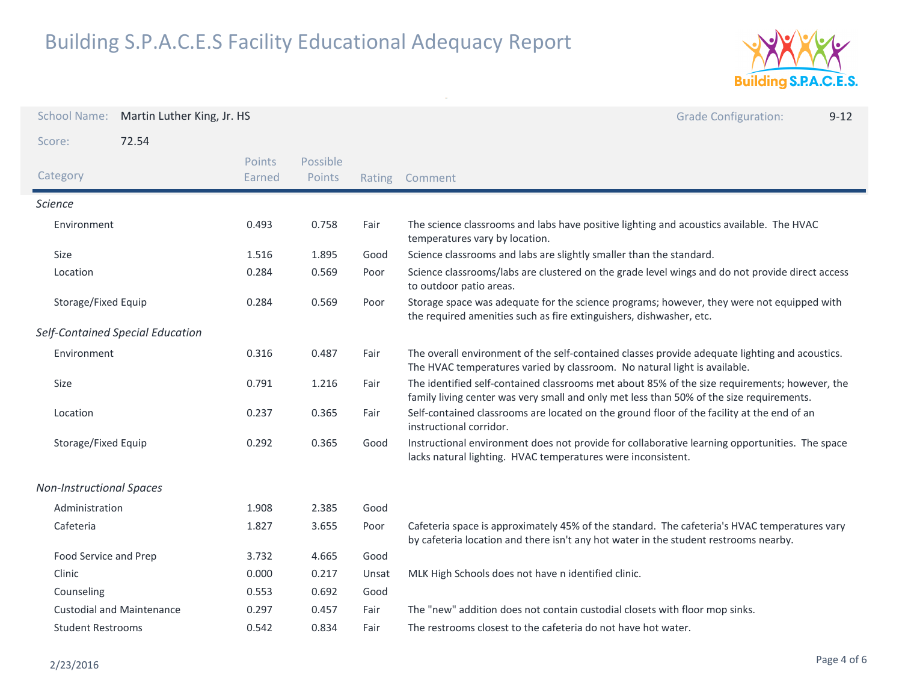

| <b>School Name:</b>             | Martin Luther King, Jr. HS       |                  |                    |        | <b>Grade Configuration:</b><br>$9 - 12$                                                                                                                                                   |
|---------------------------------|----------------------------------|------------------|--------------------|--------|-------------------------------------------------------------------------------------------------------------------------------------------------------------------------------------------|
| Score:                          | 72.54                            |                  |                    |        |                                                                                                                                                                                           |
| Category                        |                                  | Points<br>Earned | Possible<br>Points | Rating | Comment                                                                                                                                                                                   |
| <b>Science</b>                  |                                  |                  |                    |        |                                                                                                                                                                                           |
| Environment                     |                                  | 0.493            | 0.758              | Fair   | The science classrooms and labs have positive lighting and acoustics available. The HVAC<br>temperatures vary by location.                                                                |
| Size                            |                                  | 1.516            | 1.895              | Good   | Science classrooms and labs are slightly smaller than the standard.                                                                                                                       |
| Location                        |                                  | 0.284            | 0.569              | Poor   | Science classrooms/labs are clustered on the grade level wings and do not provide direct access<br>to outdoor patio areas.                                                                |
| Storage/Fixed Equip             |                                  | 0.284            | 0.569              | Poor   | Storage space was adequate for the science programs; however, they were not equipped with<br>the required amenities such as fire extinguishers, dishwasher, etc.                          |
|                                 | Self-Contained Special Education |                  |                    |        |                                                                                                                                                                                           |
| Environment                     |                                  | 0.316            | 0.487              | Fair   | The overall environment of the self-contained classes provide adequate lighting and acoustics.<br>The HVAC temperatures varied by classroom. No natural light is available.               |
| Size                            |                                  | 0.791            | 1.216              | Fair   | The identified self-contained classrooms met about 85% of the size requirements; however, the<br>family living center was very small and only met less than 50% of the size requirements. |
| Location                        |                                  | 0.237            | 0.365              | Fair   | Self-contained classrooms are located on the ground floor of the facility at the end of an<br>instructional corridor.                                                                     |
| Storage/Fixed Equip             |                                  | 0.292            | 0.365              | Good   | Instructional environment does not provide for collaborative learning opportunities. The space<br>lacks natural lighting. HVAC temperatures were inconsistent.                            |
| <b>Non-Instructional Spaces</b> |                                  |                  |                    |        |                                                                                                                                                                                           |
| Administration                  |                                  | 1.908            | 2.385              | Good   |                                                                                                                                                                                           |
| Cafeteria                       |                                  | 1.827            | 3.655              | Poor   | Cafeteria space is approximately 45% of the standard. The cafeteria's HVAC temperatures vary<br>by cafeteria location and there isn't any hot water in the student restrooms nearby.      |
| Food Service and Prep           |                                  | 3.732            | 4.665              | Good   |                                                                                                                                                                                           |
| Clinic                          |                                  | 0.000            | 0.217              | Unsat  | MLK High Schools does not have n identified clinic.                                                                                                                                       |
| Counseling                      |                                  | 0.553            | 0.692              | Good   |                                                                                                                                                                                           |
|                                 | <b>Custodial and Maintenance</b> | 0.297            | 0.457              | Fair   | The "new" addition does not contain custodial closets with floor mop sinks.                                                                                                               |
| <b>Student Restrooms</b>        |                                  | 0.542            | 0.834              | Fair   | The restrooms closest to the cafeteria do not have hot water.                                                                                                                             |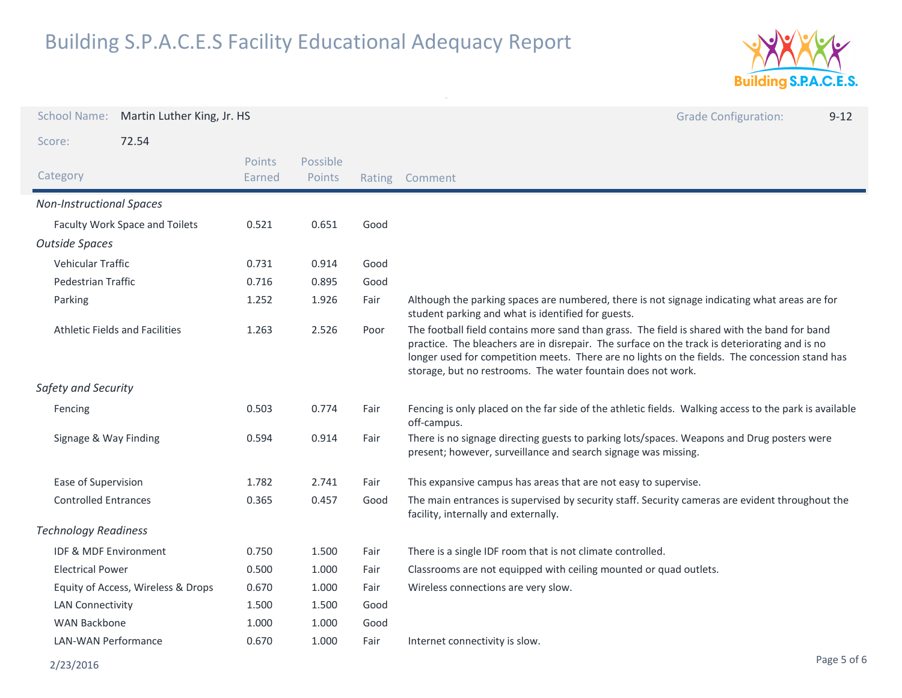

| <b>School Name:</b>              | Martin Luther King, Jr. HS            |                  |                    |      | <b>Grade Configuration:</b><br>$9 - 12$                                                                                                                                                                                                                                                                                                                         |
|----------------------------------|---------------------------------------|------------------|--------------------|------|-----------------------------------------------------------------------------------------------------------------------------------------------------------------------------------------------------------------------------------------------------------------------------------------------------------------------------------------------------------------|
| Score:                           | 72.54                                 |                  |                    |      |                                                                                                                                                                                                                                                                                                                                                                 |
| Category                         |                                       | Points<br>Earned | Possible<br>Points |      | Rating Comment                                                                                                                                                                                                                                                                                                                                                  |
| <b>Non-Instructional Spaces</b>  |                                       |                  |                    |      |                                                                                                                                                                                                                                                                                                                                                                 |
|                                  | Faculty Work Space and Toilets        | 0.521            | 0.651              | Good |                                                                                                                                                                                                                                                                                                                                                                 |
| <b>Outside Spaces</b>            |                                       |                  |                    |      |                                                                                                                                                                                                                                                                                                                                                                 |
| <b>Vehicular Traffic</b>         |                                       | 0.731            | 0.914              | Good |                                                                                                                                                                                                                                                                                                                                                                 |
| Pedestrian Traffic               |                                       | 0.716            | 0.895              | Good |                                                                                                                                                                                                                                                                                                                                                                 |
| Parking                          |                                       | 1.252            | 1.926              | Fair | Although the parking spaces are numbered, there is not signage indicating what areas are for<br>student parking and what is identified for guests.                                                                                                                                                                                                              |
|                                  | <b>Athletic Fields and Facilities</b> | 1.263            | 2.526              | Poor | The football field contains more sand than grass. The field is shared with the band for band<br>practice. The bleachers are in disrepair. The surface on the track is deteriorating and is no<br>longer used for competition meets. There are no lights on the fields. The concession stand has<br>storage, but no restrooms. The water fountain does not work. |
| Safety and Security              |                                       |                  |                    |      |                                                                                                                                                                                                                                                                                                                                                                 |
| Fencing                          |                                       | 0.503            | 0.774              | Fair | Fencing is only placed on the far side of the athletic fields. Walking access to the park is available<br>off-campus.                                                                                                                                                                                                                                           |
| Signage & Way Finding            |                                       | 0.594            | 0.914              | Fair | There is no signage directing guests to parking lots/spaces. Weapons and Drug posters were<br>present; however, surveillance and search signage was missing.                                                                                                                                                                                                    |
| Ease of Supervision              |                                       | 1.782            | 2.741              | Fair | This expansive campus has areas that are not easy to supervise.                                                                                                                                                                                                                                                                                                 |
| <b>Controlled Entrances</b>      |                                       | 0.365            | 0.457              | Good | The main entrances is supervised by security staff. Security cameras are evident throughout the<br>facility, internally and externally.                                                                                                                                                                                                                         |
| <b>Technology Readiness</b>      |                                       |                  |                    |      |                                                                                                                                                                                                                                                                                                                                                                 |
| <b>IDF &amp; MDF Environment</b> |                                       | 0.750            | 1.500              | Fair | There is a single IDF room that is not climate controlled.                                                                                                                                                                                                                                                                                                      |
| <b>Electrical Power</b>          |                                       | 0.500            | 1.000              | Fair | Classrooms are not equipped with ceiling mounted or quad outlets.                                                                                                                                                                                                                                                                                               |
|                                  | Equity of Access, Wireless & Drops    | 0.670            | 1.000              | Fair | Wireless connections are very slow.                                                                                                                                                                                                                                                                                                                             |
| <b>LAN Connectivity</b>          |                                       | 1.500            | 1.500              | Good |                                                                                                                                                                                                                                                                                                                                                                 |
| <b>WAN Backbone</b>              |                                       | 1.000            | 1.000              | Good |                                                                                                                                                                                                                                                                                                                                                                 |
| <b>LAN-WAN Performance</b>       |                                       | 0.670            | 1.000              | Fair | Internet connectivity is slow.                                                                                                                                                                                                                                                                                                                                  |